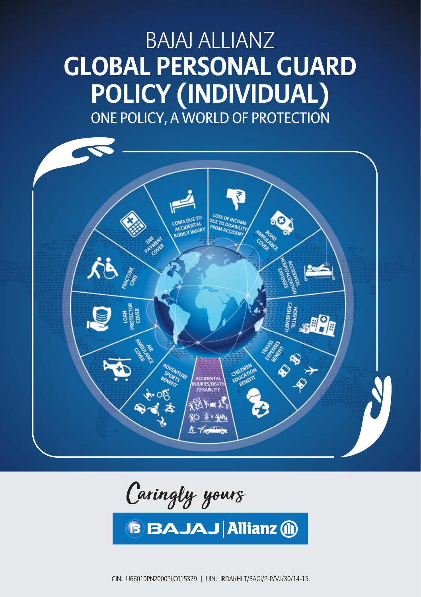# BAJAJ ALLIANZ **GLOBAL PERSONAL GUARD POLICY (INDIVIDUAL)** ONE POLICY, A WORLD OF PROTECTION



Caringly yours

**B BAJAJ Allianz (ii)** 

UIN: IRDAI/HLT/BAGI/P-P/V.I/30/14-15. 1999. IRDAI/HLT/BAGI/P-P/V.I/30/14-15. 1999. IRDAI/HLT/BAGI/P-P/V.I/30/1 CIN: U66010PN2000PLC015329 | UIN: IRDAI/HLT/BAGI/P-P/V.I/30/14-15.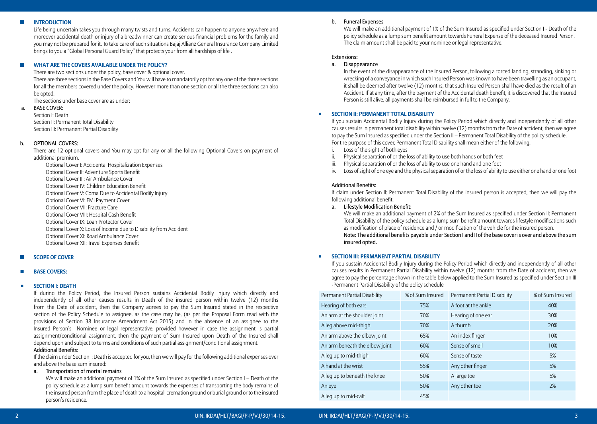## $I$  **INTRODUCTION**

 Life being uncertain takes you through many twists and turns. Accidents can happen to anyone anywhere and moreover accidental death or injury of a breadwinner can create serious financial problems for the family and you may not be prepared for it. To take care of such situations Bajaj Allianz General Insurance Company Limited brings to you a "Global Personal Guard Policy" that protects your from all hardships of life .

#### ◼ **What are the covers available under the Policy?**

There are two sections under the policy, base cover & optional cover.

 There are three sections in the Base Covers and You will have to mandatorily opt for any one of the three sections for all the members covered under the policy. However more than one section or all the three sections can also be opted.

The sections under base cover are as under:

## a. BASE COVER:

Section I: Death Section II: Permanent Total Disability Section III: Permanent Partial Disability

## b. OPTIONAL COVERS:

 There are 12 optional covers and You may opt for any or all the following Optional Covers on payment of additional premium.

 Optional Cover I: Accidental Hospitalization Expenses Optional Cover II: Adventure Sports Benefit Optional Cover III: Air Ambulance Cover Optional Cover IV: Children Education Benefit Optional Cover V: Coma Due to Accidental Bodily Injury Optional Cover VI: EMI Payment Cover Optional Cover VII: Fracture Care Optional Cover VIII: Hospital Cash Benefit Optional Cover IX: Loan Protector Cover Optional Cover X: Loss of Income due to Disability from Accident Optional Cover XI: Road Ambulance Cover Optional Cover XII: Travel Expenses Benefit

### ◼ **SCOPE OF COVER**

## ◽ **Base Covers:**

#### ◾ **SECTION I: DEATH**

 If during the Policy Period, the Insured Person sustains Accidental Bodily Injury which directly and independently of all other causes results in Death of the insured person within twelve (12) months from the Date of accident, then the Company agrees to pay the Sum Insured stated in the respective section of the Policy Schedule to assignee, as the case may be, (as per the Proposal Form read with the provisions of Section 38 Insurance Amendment Act 2015) and in the absence of an assignee to the Insured Person's Nominee or legal representative, provided however in case the assignment is partial assignment/conditional assignment, then the payment of Sum Insured upon Death of the Insured shall depend upon and subject to terms and conditions of such partial assignment/conditional assignment.

#### Additional Benefits:

 If the claim under Section I: Death is accepted for you, then we will pay for the following additional expenses over and above the base sum insured:

### a. Transportation of mortal remains

 We will make an additional payment of 1% of the Sum Insured as specified under Section I – Death of the policy schedule as a lump sum benefit amount towards the expenses of transporting the body remains of the insured person from the place of death to a hospital, cremation ground or burial ground or to the insured person's residence.

#### b. Funeral Expenses

We will make an additional payment of 1% of the Sum Insured as specified under Section I - Death of the policy schedule as a lump sum benefit amount towards Funeral Expense of the deceased Insured Person. The claim amount shall be paid to your nominee or legal representative.

#### Extensions**:**

## a. Disappearance

 In the event of the disappearance of the Insured Person, following a forced landing, stranding, sinking or wrecking of a conveyance in which such Insured Person was known to have been travelling as an occupant, it shall be deemed after twelve (12) months, that such Insured Person shall have died as the result of an Accident. If at any time, after the payment of the Accidental death benefit, it is discovered that the Insured Person is still alive, all payments shall be reimbursed in full to the Company.

#### ◾ **SECTION II: PERMANENT TOTAL DISABILITY**

 If you sustain Accidental Bodily Injury during the Policy Period which directly and independently of all other causes results in permanent total disability within twelve (12) months from the Date of accident, then we agree to pay the Sum Insured as specified under the Section II – Permanent Total Disability of the policy schedule. For the purpose of this cover, Permanent Total Disability shall mean either of the following:

- i. Loss of the sight of both eyes
- ii. Physical separation of or the loss of ability to use both hands or both feet
- iii. Physical separation of or the loss of ability to use one hand and one foot
- iv. Loss of sight of one eye and the physical separation of or the loss of ability to use either one hand or one foot

#### Additional Benefits:

 If claim under Section II: Permanent Total Disability of the insured person is accepted, then we will pay the following additional benefit:

a. Lifestyle Modification Benefit:

 We will make an additional payment of 2% of the Sum Insured as specified under Section II: Permanent Total Disability of the policy schedule as a lump sum benefit amount towards lifestyle modifications such as modification of place of residence and / or modification of the vehicle for the insured person. Note: The additional benefits payable under Section I and II of the base cover is over and above the sum insured opted.

## ◾ **SECTION III: PERMANENT PARTIAL DISABILITY**

 If you sustain Accidental Bodily Injury during the Policy Period which directly and independently of all other causes results in Permanent Partial Disability within twelve (12) months from the Date of accident, then we agree to pay the percentage shown in the table below applied to the Sum Insured as specified under Section III -Permanent Partial Disability of the policy schedule

| Permanent Partial Disability   | % of Sum Insured | Permanent Partial Disability | % of Sum Insured |
|--------------------------------|------------------|------------------------------|------------------|
| Hearing of both ears           | 75%              | A foot at the ankle          | 40%              |
| An arm at the shoulder joint   | 70%              | Hearing of one ear           | 30%              |
| A leg above mid-thigh          | 70%              | A thumb                      | 20%              |
| An arm above the elbow joint   | 65%              | An index finger              | 10%              |
| An arm beneath the elbow joint | 60%              | Sense of smell               | 10%              |
| A leg up to mid-thigh          | 60%              | Sense of taste               | 5%               |
| A hand at the wrist            | 55%              | Any other finger             | 5%               |
| A leg up to beneath the knee   | 50%              | A large toe                  | 5%               |
| An eye                         | 50%              | Any other toe                | 2%               |
| A leg up to mid-calf           | 45%              |                              |                  |

#### 2 UIN: IRDAI/HLT/BAGI/P-P/V.I/30/14-15. UIN: IRDAI/HLT/BAGI/P-P/V.I/30/14-15. 3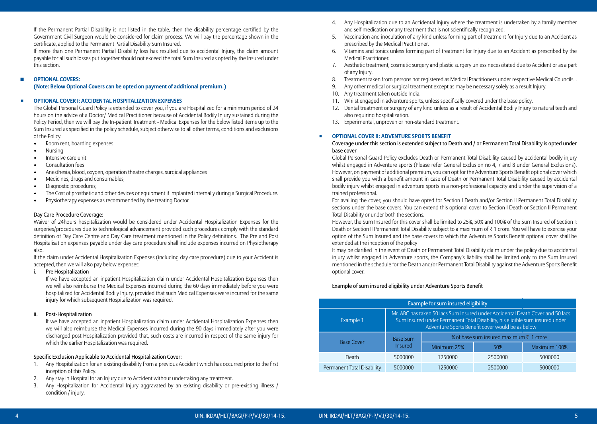If the Permanent Partial Disability is not listed in the table, then the disability percentage certified by the Government Civil Surgeon would be considered for claim process. We will pay the percentage shown in the certificate, applied to the Permanent Partial Disability Sum Insured.

 If more than one Permanent Partial Disability loss has resulted due to accidental Injury, the claim amount payable for all such losses put together should not exceed the total Sum Insured as opted by the Insured under this section.

## ■ **OPTIONAL COVERS:**

## **(Note: Below Optional Covers can be opted on payment of additional premium.)**

## ◾ **OPTIONAL COVER I: ACCIDENTAL HOSPITALIZATION EXPENSES**

 The Global Personal Guard Policy is extended to cover you, if you are Hospitalized for a minimum period of 24 hours on the advice of a Doctor/ Medical Practitioner because of Accidental Bodily Injury sustained during the Policy Period, then we will pay the In-patient Treatment - Medical Expenses for the below listed items up to the Sum Insured as specified in the policy schedule, subject otherwise to all other terms, conditions and exclusions of the Policy.

- Room rent, boarding expenses
- Nursing
- Intensive care unit
- Consultation fees
- Anesthesia, blood, oxygen, operation theatre charges, surgical appliances
- Medicines, drugs and consumables,
- Diagnostic procedures,
- The Cost of prosthetic and other devices or equipment if implanted internally during a Surgical Procedure.
- Physiotherapy expenses as recommended by the treating Doctor

## Day Care Procedure Coverage:

 Waiver of 24hours hospitalization would be considered under Accidental Hospitalization Expenses for the surgeries/procedures due to technological advancement provided such procedures comply with the standard definition of Day Care Centre and Day Care treatment mentioned in the Policy definitions. The Pre and Post Hospitalisation expenses payable under day care procedure shall include expenses incurred on Physiotherapy also.

 If the claim under Accidental Hospitalization Expenses (including day care procedure) due to your Accident is accepted, then we will also pay below expenses:

## i. Pre Hospitalization

 If we have accepted an inpatient Hospitalization claim under Accidental Hospitalization Expenses then we will also reimburse the Medical Expenses incurred during the 60 days immediately before you were hospitalized for Accidental Bodily Injury, provided that such Medical Expenses were incurred for the same injury for which subsequent Hospitalization was required.

## ii. Post-Hospitalization

 If we have accepted an inpatient Hospitalization claim under Accidental Hospitalization Expenses then we will also reimburse the Medical Expenses incurred during the 90 days immediately after you were discharged post Hospitalization provided that, such costs are incurred in respect of the same injury for which the earlier Hospitalization was required.

## Specific Exclusion Applicable to Accidental Hospitalization Cover:

- 1. Any Hospitalization for an existing disability from a previous Accident which has occurred prior to the first inception of this Policy.
- 2. Any stay in Hospital for an Injury due to Accident without undertaking any treatment.
- 3. Any Hospitalization for Accidental Injury aggravated by an existing disability or pre-existing illness / condition / injury.
- 4. Any Hospitalization due to an Accidental Injury where the treatment is undertaken by a family member and self medication or any treatment that is not scientifically recognized.
- 5. Vaccination and inoculation of any kind unless forming part of treatment for Injury due to an Accident as prescribed by the Medical Practitioner.
- 6. Vitamins and tonics unless forming part of treatment for Injury due to an Accident as prescribed by the Medical Practitioner.
- 7. Aesthetic treatment, cosmetic surgery and plastic surgery unless necessitated due to Accident or as a part of any Injury.
- 8. Treatment taken from persons not registered as Medical Practitioners under respective Medical Councils. .
- 9. Any other medical or surgical treatment except as may be necessary solely as a result Injury.
- 10. Any treatment taken outside India.
- 11. Whilst engaged in adventure sports, unless specifically covered under the base policy.
- 12. Dental treatment or surgery of any kind unless as a result of Accidental Bodily Injury to natural teeth and also requiring hospitalization.
- 13. Experimental, unproven or non-standard treatment.

## ◾ **OPTIONAL COVER II: ADVENTURE SPORTS BENEFIT**

## Coverage under this section is extended subject to Death and / or Permanent Total Disability is opted under base cover

 Global Personal Guard Policy excludes Death or Permanent Total Disability caused by accidental bodily injury whilst engaged in Adventure sports (Please refer General Exclusion no 4, 7 and 8 under General Exclusions). However, on payment of additional premium, you can opt for the Adventure Sports Benefit optional cover which shall provide you with a benefit amount in case of Death or Permanent Total Disability caused by accidental bodily injury whilst engaged in adventure sports in a non-professional capacity and under the supervision of a trained professional.

 For availing the cover, you should have opted for Section I Death and/or Section II Permanent Total Disability sections under the base covers. You can extend this optional cover to Section I Death or Section II Permanent Total Disability or under both the sections.

 However, the Sum Insured for this cover shall be limited to 25%, 50% and 100% of the Sum Insured of Section I: Death or Section II Permanent Total Disability subject to a maximum of  $\bar{\tau}$  1 crore. You will have to exercise your option of the Sum Insured and the base covers to which the Adventure Sports Benefit optional cover shall be extended at the inception of the policy

 It may be clarified in the event of Death or Permanent Total Disability claim under the policy due to accidental injury whilst engaged in Adventure sports, the Company's liability shall be limited only to the Sum Insured mentioned in the schedule for the Death and/or Permanent Total Disability against the Adventure Sports Benefit optional cover.

## Example of sum insured eligibility under Adventure Sports Benefit

| Example for sum insured eligibility |                                                                                                                                                                                                                    |                                         |         |              |  |
|-------------------------------------|--------------------------------------------------------------------------------------------------------------------------------------------------------------------------------------------------------------------|-----------------------------------------|---------|--------------|--|
| Example 1                           | Mr. ABC has taken 50 lacs Sum Insured under Accidental Death Cover and 50 lacs<br>Sum Insured under Permanent Total Disability, his eligible sum insured under<br>Adventure Sports Benefit cover would be as below |                                         |         |              |  |
| <b>Base Cover</b>                   | <b>Base Sum</b>                                                                                                                                                                                                    | % of base sum insured maximum ₹ 1 crore |         |              |  |
|                                     | <b>Insured</b>                                                                                                                                                                                                     | Minimum 25%                             | 50%     | Maximum 100% |  |
| Death                               | 5000000                                                                                                                                                                                                            | 1250000                                 | 2500000 | 5000000      |  |
| Permanent Total Disability          | 5000000                                                                                                                                                                                                            | 1250000                                 | 2500000 | 5000000      |  |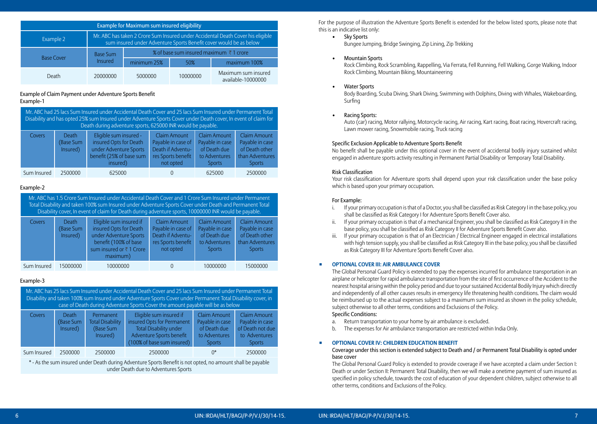| Example for Maximum sum insured eligibility |                                                                                                                                                       |             |                                                    |                                           |  |
|---------------------------------------------|-------------------------------------------------------------------------------------------------------------------------------------------------------|-------------|----------------------------------------------------|-------------------------------------------|--|
| Example 2                                   | Mr. ABC has taken 2 Crore Sum Insured under Accidental Death Cover his eligible<br>sum insured under Adventure Sports Benefit cover would be as below |             |                                                    |                                           |  |
|                                             | <b>Base Sum</b>                                                                                                                                       |             | % of base sum insured maximum $\bar{\tau}$ 1 crore |                                           |  |
| <b>Base Cover</b>                           | <b>Insured</b>                                                                                                                                        | minimum 25% | 50%                                                | maximum 100%                              |  |
| Death                                       | 20000000                                                                                                                                              | 5000000     | 10000000                                           | Maximum sum insured<br>available-10000000 |  |

## Example of Claim Payment under Adventure Sports Benefit Example-1

| Mr. ABC had 25 lacs Sum Insured under Accidental Death Cover and 25 lacs Sum Insured under Permanent Total<br>Disability and has opted 25% sum Insured under Adventure Sports Cover under Death cover, In event of claim for<br>Death during adventure sports, 625000 INR would be payable. |                                |                                                                                                                    |                                                                                                   |                                                                                          |                                                                                              |  |
|---------------------------------------------------------------------------------------------------------------------------------------------------------------------------------------------------------------------------------------------------------------------------------------------|--------------------------------|--------------------------------------------------------------------------------------------------------------------|---------------------------------------------------------------------------------------------------|------------------------------------------------------------------------------------------|----------------------------------------------------------------------------------------------|--|
| <b>Covers</b>                                                                                                                                                                                                                                                                               | Death<br>(Base Sum<br>Insured) | Eligible sum insured -<br>insured Opts for Death<br>under Adventure Sports<br>benefit (25% of base sum<br>insured) | <b>Claim Amount</b><br>Payable in case of<br>Death if Adventu-<br>res Sports benefit<br>not opted | <b>Claim Amount</b><br>Payable in case<br>of Death due<br>to Adventures<br><b>Sports</b> | <b>Claim Amount</b><br>Payable in case<br>of Death other<br>than Adventures<br><b>Sports</b> |  |
| Sum Insured                                                                                                                                                                                                                                                                                 | 2500000                        | 625000                                                                                                             |                                                                                                   | 625000                                                                                   | 2500000                                                                                      |  |

## Example-2

| Mr. ABC has 1.5 Crore Sum Insured under Accidental Death Cover and 1 Crore Sum Insured under Permanent<br>Total Disability and taken 100% sum Insured under Adventure Sports Cover under Death and Permanent Total<br>Disability cover, In event of claim for Death during adventure sports, 10000000 INR would be payable. |                                |                                                                                                                                             |                                                                                                   |                                                                                          |                                                                                       |
|-----------------------------------------------------------------------------------------------------------------------------------------------------------------------------------------------------------------------------------------------------------------------------------------------------------------------------|--------------------------------|---------------------------------------------------------------------------------------------------------------------------------------------|---------------------------------------------------------------------------------------------------|------------------------------------------------------------------------------------------|---------------------------------------------------------------------------------------|
| Covers                                                                                                                                                                                                                                                                                                                      | Death<br>(Base Sum<br>Insured) | Eligible sum insured if<br>insured Opts for Death<br>under Adventure Sports<br>benefit (100% of base<br>sum insured or ₹1 Crore<br>maximum) | <b>Claim Amount</b><br>Payable in case of<br>Death if Adventu-<br>res Sports benefit<br>not opted | <b>Claim Amount</b><br>Payable in case<br>of Death due<br>to Adventures<br><b>Sports</b> | Claim Amount<br>Payable in case<br>of Death other<br>than Adventures<br><b>Sports</b> |
| Sum Insured                                                                                                                                                                                                                                                                                                                 | 15000000                       | 10000000                                                                                                                                    | 0                                                                                                 | 10000000                                                                                 | 15000000                                                                              |

## Example-3

| Mr. ABC has 25 lacs Sum Insured under Accidental Death Cover and 25 lacs Sum Insured under Permanent Total<br>Disability and taken 100% sum Insured under Adventure Sports Cover under Permanent Total Disability cover, in<br>case of Death during Adventure Sports Cover the amount payable will be as below |                                |                                                               |                                                                                                                                                  |                                                                                          |                                                                                              |
|----------------------------------------------------------------------------------------------------------------------------------------------------------------------------------------------------------------------------------------------------------------------------------------------------------------|--------------------------------|---------------------------------------------------------------|--------------------------------------------------------------------------------------------------------------------------------------------------|------------------------------------------------------------------------------------------|----------------------------------------------------------------------------------------------|
| Covers                                                                                                                                                                                                                                                                                                         | Death<br>(Base Sum<br>Insured) | Permanent<br><b>Total Disability</b><br>(Base Sum<br>Insured) | Eligible sum insured if<br>insured Opts for Permanent<br><b>Total Disability under</b><br>Adventure Sports benefit<br>(100% of base sum insured) | <b>Claim Amount</b><br>Payable in case<br>of Death due<br>to Adventures<br><b>Sports</b> | <b>Claim Amount</b><br>Payable in case<br>of Death not due<br>to Adventures<br><b>Sports</b> |
| Sum Insured                                                                                                                                                                                                                                                                                                    | 2500000                        | 2500000                                                       | 2500000                                                                                                                                          | $0^*$                                                                                    | 2500000                                                                                      |
| * Acthorym insured under Death during Adventure Sperts Benefit is not ented no amount shall be payable                                                                                                                                                                                                         |                                |                                                               |                                                                                                                                                  |                                                                                          |                                                                                              |

sum insured under Death during Adventure Sports Benefit is not opted, no amount under Death due to Adventures Sports

For the purpose of illustration the Adventure Sports Benefit is extended for the below listed sports, please note that this is an indicative list only:

- • Sky Sports Bungee Jumping, Bridge Swinging, Zip Lining, Zip Trekking
- **Mountain Sports**

 Rock Climbing, Rock Scrambling, Rappelling, Via Ferrata, Fell Running, Fell Walking, Gorge Walking, Indoor Rock Climbing, Mountain Biking, Mountaineering

#### **Water Sports**

 Body Boarding, Scuba Diving, Shark Diving, Swimming with Dolphins, Diving with Whales, Wakeboarding, Surfing

## Racing Sports:

 Auto (car) racing, Motor rallying, Motorcycle racing, Air racing, Kart racing, Boat racing, Hovercraft racing, Lawn mower racing, Snowmobile racing, Truck racing

## Specific Exclusion Applicable to Adventure Sports Benefit

 No benefit shall be payable under this optional cover in the event of accidental bodily injury sustained whilst engaged in adventure sports activity resulting in Permanent Partial Disability or Temporary Total Disability.

#### Risk Classification

 Your risk classification for Adventure sports shall depend upon your risk classification under the base policy which is based upon your primary occupation.

#### For Example:

- i. If your primary occupation is that of a Doctor, you shall be classified as Risk Category I in the base policy, you shall be classified as Risk Category I for Adventure Sports Benefit Cover also.
- ii. If your primary occupation is that of a mechanical Engineer, you shall be classified as Risk Category II in the base policy, you shall be classified as Risk Category II for Adventure Sports Benefit Cover also.
- iii. If your primary occupation is that of an Electrician / Electrical Engineer engaged in electrical installations with high tension supply, you shall be classified as Risk Category III in the base policy, you shall be classified as Risk Category III for Adventure Sports Benefit Cover also.

## ◾ **OPTIONAL COVER III: AIR AMBULANCE COVER**

 The Global Personal Guard Policy is extended to pay the expenses incurred for ambulance transportation in an airplane or helicopter for rapid ambulance transportation from the site of first occurrence of the Accident to the nearest hospital arising within the policy period and due to your sustained Accidental Bodily Injury which directly and independently of all other causes results in emergency life threatening health conditions. The claim would be reimbursed up to the actual expenses subject to a maximum sum insured as shown in the policy schedule, subject otherwise to all other terms, conditions and Exclusions of the Policy.

## Specific Conditions:

- a. Return transportation to your home by air ambulance is excluded.
- b. The expenses for Air ambulance transportation are restricted within India Only.

#### ◾ **OPTIONAL COVER IV: CHILDREN EDUCATION BENEFIT**

## Coverage under this section is extended subject to Death and / or Permanent Total Disability is opted under base cover

 The Global Personal Guard Policy is extended to provide coverage if we have accepted a claim under Section I: Death or under Section II: Permanent Total Disability, then we will make a onetime payment of sum insured as specified in policy schedule, towards the cost of education of your dependent children, subject otherwise to all other terms, conditions and Exclusions of the Policy.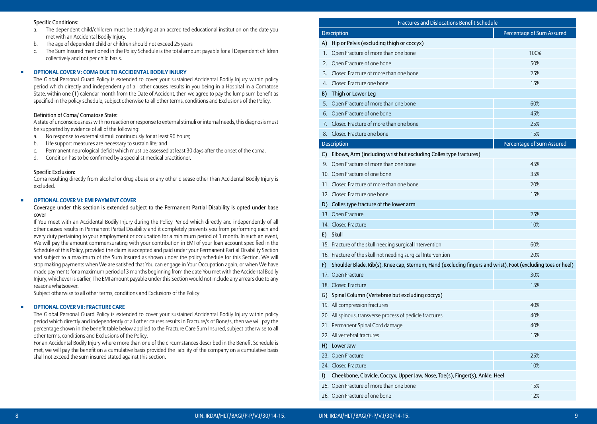#### Specific Conditions:

- a. The dependent child/children must be studying at an accredited educational institution on the date you met with an Accidental Bodily Injury.
- b. The age of dependent child or children should not exceed 25 years
- c. The Sum Insured mentioned in the Policy Schedule is the total amount payable for all Dependent children collectively and not per child basis.

## ◾ **OPTIONAL COVER V: COMA DUE TO ACCIDENTAL BODILY INJURY**

 The Global Personal Guard Policy is extended to cover your sustained Accidental Bodily Injury within policy period which directly and independently of all other causes results in you being in a Hospital in a Comatose State, within one (1) calendar month from the Date of Accident, then we agree to pay the lump sum benefit as specified in the policy schedule, subject otherwise to all other terms, conditions and Exclusions of the Policy.

## Definition of Coma/ Comatose State:

 A state of unconsciousness with no reaction or response to external stimuli or internal needs, this diagnosis must be supported by evidence of all of the following:

- a. No response to external stimuli continuously for at least 96 hours;
- b. Life support measures are necessary to sustain life; and
- c. Permanent neurological deficit which must be assessed at least 30 days after the onset of the coma.
- d. Condition has to be confirmed by a specialist medical practitioner.

## Specific Exclusion:

 Coma resulting directly from alcohol or drug abuse or any other disease other than Accidental Bodily Injury is excluded.

## ◾ **OPTIONAL COVER VI: EMI PAYMENT COVER**

## Coverage under this section is extended subject to the Permanent Partial Disability is opted under base cover

 If You meet with an Accidental Bodily Injury during the Policy Period which directly and independently of all other causes results in Permanent Partial Disability and it completely prevents you from performing each and every duty pertaining to your employment or occupation for a minimum period of 1 month. In such an event, We will pay the amount commensurating with your contribution in EMI of your loan account specified in the Schedule of this Policy, provided the claim is accepted and paid under your Permanent Partial Disability Section and subject to a maximum of the Sum Insured as shown under the policy schedule for this Section. We will stop making payments when We are satisfied that You can engage in Your Occupation again, or when We have made payments for a maximum period of 3 months beginning from the date You met with the Accidental Bodily Injury, whichever is earlier, The EMI amount payable under this Section would not include any arrears due to any reasons whatsoever.

Subject otherwise to all other terms, conditions and Exclusions of the Policy

#### ◾ **OPTIONAL COVER VII: FRACTURE CARE**

 The Global Personal Guard Policy is extended to cover your sustained Accidental Bodily Injury within policy period which directly and independently of all other causes results in Fracture/s of Bone/s, then we will pay the percentage shown in the benefit table below applied to the Fracture Care Sum Insured, subject otherwise to all other terms, conditions and Exclusions of the Policy.

 For an Accidental Bodily Injury where more than one of the circumstances described in the Benefit Schedule is met, we will pay the benefit on a cumulative basis provided the liability of the company on a cumulative basis shall not exceed the sum insured stated against this section.

|     | <b>Fractures and Dislocations Benefit Schedule</b>                                                           |                           |  |  |  |
|-----|--------------------------------------------------------------------------------------------------------------|---------------------------|--|--|--|
|     | <b>Description</b>                                                                                           | Percentage of Sum Assured |  |  |  |
| A)  | Hip or Pelvis (excluding thigh or coccyx)                                                                    |                           |  |  |  |
| 1.  | Open Fracture of more than one bone                                                                          | 100%                      |  |  |  |
| 2.  | Open Fracture of one bone                                                                                    | 50%                       |  |  |  |
| 3.  | Closed Fracture of more than one bone                                                                        | 25%                       |  |  |  |
| 4.  | Closed Fracture one bone                                                                                     | 15%                       |  |  |  |
| B)  | Thigh or Lower Leg                                                                                           |                           |  |  |  |
| 5.  | Open Fracture of more than one bone                                                                          | 60%                       |  |  |  |
| 6.  | Open Fracture of one bone                                                                                    | 45%                       |  |  |  |
| 7.  | Closed Fracture of more than one bone                                                                        | 25%                       |  |  |  |
| 8.  | Closed Fracture one bone                                                                                     | 15%                       |  |  |  |
|     | <b>Description</b>                                                                                           | Percentage of Sum Assured |  |  |  |
|     | C) Elbows, Arm (including wrist but excluding Colles type fractures)                                         |                           |  |  |  |
|     | 9. Open Fracture of more than one bone                                                                       | 45%                       |  |  |  |
|     | 10. Open Fracture of one bone                                                                                | 35%                       |  |  |  |
|     | 11. Closed Fracture of more than one bone                                                                    | 20%                       |  |  |  |
|     | 12. Closed Fracture one bone                                                                                 | 15%                       |  |  |  |
|     | D) Colles type fracture of the lower arm                                                                     |                           |  |  |  |
|     | 13. Open Fracture                                                                                            | 25%                       |  |  |  |
|     | 14. Closed Fracture                                                                                          | 10%                       |  |  |  |
| E)  | Skull                                                                                                        |                           |  |  |  |
|     | 15. Fracture of the skull needing surgical Intervention                                                      | 60%                       |  |  |  |
|     | 16. Fracture of the skull not needing surgical Intervention                                                  | 20%                       |  |  |  |
| F)  | Shoulder Blade, Rib(s), Knee cap, Sternum, Hand (excluding fingers and wrist), Foot (excluding toes or heel) |                           |  |  |  |
|     | 17. Open Fracture                                                                                            | 30%                       |  |  |  |
|     | 18. Closed Fracture                                                                                          | 15%                       |  |  |  |
|     | G) Spinal Column (Vertebrae but excluding coccyx)                                                            |                           |  |  |  |
|     | 19. All compression fractures                                                                                | 40%                       |  |  |  |
|     | 20. All spinous, transverse process of pedicle fractures                                                     | 40%                       |  |  |  |
|     | 21. Permanent Spinal Cord damage                                                                             | 40%                       |  |  |  |
|     | 22. All vertebral fractures                                                                                  | 15%                       |  |  |  |
| H). | Lower Jaw                                                                                                    |                           |  |  |  |
|     | 23. Open Fracture                                                                                            | 25%                       |  |  |  |
|     | 24. Closed Fracture                                                                                          | 10%                       |  |  |  |
| I)  | Cheekbone, Clavicle, Coccyx, Upper Jaw, Nose, Toe(s), Finger(s), Ankle, Heel                                 |                           |  |  |  |
|     | 25. Open Fracture of more than one bone                                                                      | 15%                       |  |  |  |

26. Open Fracture of one bone 12% and 12% and 12% and 12% and 12% and 12% and 12% and 12% and 12% and 12% and 12%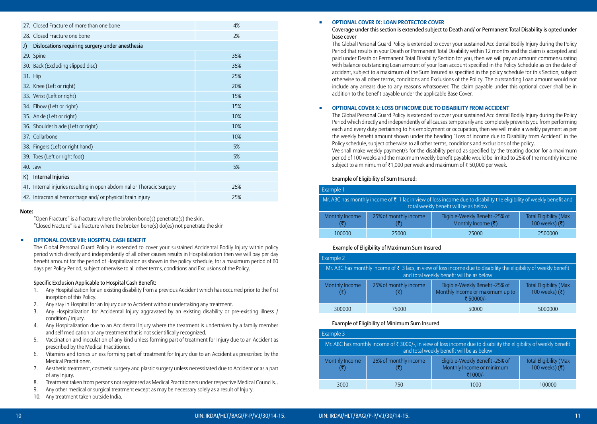| 27. Closed Fracture of more than one bone                             | 4%  |
|-----------------------------------------------------------------------|-----|
| 28. Closed Fracture one bone                                          | 2%  |
|                                                                       |     |
| Dislocations requiring surgery under anesthesia<br>J)                 |     |
| 29. Spine                                                             | 35% |
| 30. Back (Excluding slipped disc)                                     | 35% |
| 31. Hip                                                               | 25% |
| 32. Knee (Left or right)                                              | 20% |
| 33. Wrist (Left or right)                                             | 15% |
| 34. Elbow (Left or right)                                             | 15% |
| 35. Ankle (Left or right)                                             | 10% |
| 36. Shoulder blade (Left or right)                                    | 10% |
| 37. Collarbone                                                        | 10% |
| 38. Fingers (Left or right hand)                                      | 5%  |
| 39. Toes (Left or right foot)                                         | 5%  |
| 40. Jaw                                                               | 5%  |
| Internal Injuries<br>K)                                               |     |
| 41. Internal injuries resulting in open abdominal or Thoracic Surgery | 25% |
| 42. Intracranial hemorrhage and/ or physical brain injury             | 25% |
|                                                                       |     |

## **Note:**

"Open Fracture" is a fracture where the broken bone(s) penetrate(s) the skin. "Closed Fracture" is a fracture where the broken bone(s) do(es) not penetrate the skin

#### ◾ **OPTIONAL COVER VIII: HOSPITAL CASH BENEFIT**

 The Global Personal Guard Policy is extended to cover your sustained Accidental Bodily Injury within policy period which directly and independently of all other causes results in Hospitalization then we will pay per day benefit amount for the period of Hospitalization as shown in the policy schedule, for a maximum period of 60 days per Policy Period, subject otherwise to all other terms, conditions and Exclusions of the Policy.

#### Specific Exclusion Applicable to Hospital Cash Benefit:

- 1. Any Hospitalization for an existing disability from a previous Accident which has occurred prior to the first inception of this Policy.
- 2. Any stay in Hospital for an Injury due to Accident without undertaking any treatment.
- 3. Any Hospitalization for Accidental Injury aggravated by an existing disability or pre-existing illness / condition / injury.
- 4. Any Hospitalization due to an Accidental Injury where the treatment is undertaken by a family member and self medication or any treatment that is not scientifically recognized.
- 5. Vaccination and inoculation of any kind unless forming part of treatment for Injury due to an Accident as prescribed by the Medical Practitioner.
- 6. Vitamins and tonics unless forming part of treatment for Injury due to an Accident as prescribed by the Medical Practitioner.
- 7. Aesthetic treatment, cosmetic surgery and plastic surgery unless necessitated due to Accident or as a part of any Injury.
- 8. Treatment taken from persons not registered as Medical Practitioners under respective Medical Councils. .
- 9. Any other medical or surgical treatment except as may be necessary solely as a result of Injury.
- 10. Any treatment taken outside India.

## ◾ **OPTIONAL COVER IX: LOAN PROTECTOR COVER**

 Coverage under this section is extended subject to Death and/ or Permanent Total Disability is opted under base cover

 The Global Personal Guard Policy is extended to cover your sustained Accidental Bodily Injury during the Policy Period that results in your Death or Permanent Total Disability within 12 months and the claim is accepted and paid under Death or Permanent Total Disability Section for you, then we will pay an amount commensurating with balance outstanding Loan amount of your loan account specified in the Policy Schedule as on the date of accident, subject to a maximum of the Sum Insured as specified in the policy schedule for this Section, subject otherwise to all other terms, conditions and Exclusions of the Policy. The outstanding Loan amount would not include any arrears due to any reasons whatsoever. The claim payable under this optional cover shall be in addition to the benefit payable under the applicable Base Cover.

## ◾ **OPTIONAL COVER X: LOSS OF INCOME DUE TO DISABILITY FROM ACCIDENT**

 The Global Personal Guard Policy is extended to cover your sustained Accidental Bodily Injury during the Policy Period which directly and independently of all causes temporarily and completely prevents you from performing each and every duty pertaining to his employment or occupation, then we will make a weekly payment as per the weekly benefit amount shown under the heading "Loss of income due to Disability from Accident" in the Policy schedule, subject otherwise to all other terms, conditions and exclusions of the policy.

We shall make weekly payment/s for the disability period as specified by the treating doctor for a maximum period of 100 weeks and the maximum weekly benefit payable would be limited to 25% of the monthly income subject to a minimum of  $\bar{\tau}$ 1,000 per week and maximum of  $\bar{\tau}$  50,000 per week.

## Example of Eligibility of Sum Insured:

| Example 1                                                                                                                                                     |                       |                                                                  |                                                 |  |
|---------------------------------------------------------------------------------------------------------------------------------------------------------------|-----------------------|------------------------------------------------------------------|-------------------------------------------------|--|
| Mr. ABC has monthly income of ₹ 1 lac in view of loss income due to disability the eligibility of weekly benefit and<br>total weekly benefit will be as below |                       |                                                                  |                                                 |  |
| Monthly Income                                                                                                                                                | 25% of monthly income | Eligible-Weekly Benefit -25% of<br>Monthly Income $(\bar{\tau})$ | <b>Total Eligibility (Max</b><br>100 weeks) (₹) |  |
| 100000                                                                                                                                                        | 25000                 | 25000                                                            | 2500000                                         |  |

## Example of Eligibility of Maximum Sum Insured

| Example 2                                                                                                                                                           |                       |                                                                                |                                                 |  |
|---------------------------------------------------------------------------------------------------------------------------------------------------------------------|-----------------------|--------------------------------------------------------------------------------|-------------------------------------------------|--|
| Mr. ABC has monthly income of $\xi$ 3 lacs, in view of loss income due to disability the eligibility of weekly benefit<br>and total weekly benefit will be as below |                       |                                                                                |                                                 |  |
| Monthly Income                                                                                                                                                      | 25% of monthly income | Eligible-Weekly Benefit -25% of<br>Monthly Income or maximum up to<br>₹50000/- | <b>Total Eligibility (Max</b><br>100 weeks) (₹) |  |
| 300000                                                                                                                                                              | 75000                 | 50000                                                                          | 5000000                                         |  |

#### Example of Eligibility of Minimum Sum Insured

| Example 3                                                                                                                                                                  |                       |                                                                         |                                                 |  |
|----------------------------------------------------------------------------------------------------------------------------------------------------------------------------|-----------------------|-------------------------------------------------------------------------|-------------------------------------------------|--|
| Mr. ABC has monthly income of $\bar{\tau}$ 3000/-, in view of loss income due to disability the eligibility of weekly benefit<br>and total weekly benefit will be as below |                       |                                                                         |                                                 |  |
| Monthly Income                                                                                                                                                             | 25% of monthly income | Eligible-Weekly Benefit -25% of<br>Monthly Income or minimum<br>₹1000/- | <b>Total Eligibility (Max</b><br>100 weeks) (₹) |  |
| 3000                                                                                                                                                                       | 750                   | 1000                                                                    | 100000                                          |  |

## 10 UIN: IRDAI/HLT/BAGI/P-P/V.I/30/14-15. UIN: IRDAI/HLT/BAGI/P-P/V.I/30/14-15. 11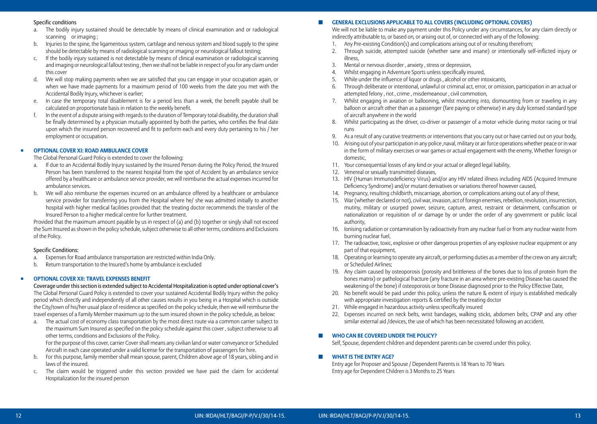## Specific conditions

- a. The bodily injury sustained should be detectable by means of clinical examination and or radiological scanning or imaging ;
- b. Injuries to the spine, the ligamentous system, cartilage and nervous system and blood supply to the spine should be detectable by means of radiological scanning or imaging or neurological fallout testing;
- c. If the bodily injury sustained is not detectable by means of clinical examination or radiological scanning and imaging or neurological fallout testing , then we shall not be liable in respect of you for any claim under this cover
- d. We will stop making payments when we are satisfied that you can engage in your occupation again, or when we have made payments for a maximum period of 100 weeks from the date you met with the Accidental Bodily Injury, whichever is earlier;
- e. In case the temporary total disablement is for a period less than a week, the benefit payable shall be calculated on proportionate basis in relation to the weekly benefit.
- f. In the event of a dispute arising with regards to the duration of Temporary total disability, the duration shall be finally determined by a physician mutually appointed by both the parties, who certifies the final date upon which the insured person recovered and fit to perform each and every duty pertaining to his / her employment or occupation.

## ◾ **OPTIONAL COVER XI: ROAD AMBULANCE COVER**

The Global Personal Guard Policy is extended to cover the following:

- a. If due to an Accidental Bodily Injury sustained by the Insured Person during the Policy Period, the Insured Person has been transferred to the nearest hospital from the spot of Accident by an ambulance service offered by a healthcare or ambulance service provider, we will reimburse the actual expenses incurred for ambulance services.
- b. We will also reimburse the expenses incurred on an ambulance offered by a healthcare or ambulance service provider for transferring you from the Hospital where he/ she was admitted initially to another hospital with higher medical facilities provided that: the treating doctor recommends the transfer of the Insured Person to a higher medical centre for further treatment.

 Provided that the maximum amount payable by us in respect of (a) and (b) together or singly shall not exceed the Sum Insured as shown in the policy schedule, subject otherwise to all other terms, conditions and Exclusions of the Policy.

## Specific Conditions:

- a. Expenses for Road ambulance transportation are restricted within India Only.
- b. Return transportation to the Insured's home by ambulance is excluded

## ◾ **OPTIONAL COVER XII: TRAVEL EXPENSES BENEFIT**

Coverage under this section is extended subject to Accidental Hospitalization is opted under optional cover's The Global Personal Guard Policy is extended to cover your sustained Accidental Bodily Injury within the policy period which directly and independently of all other causes results in you being in a Hospital which is outside the City/town of his/her usual place of residence as specified on the policy schedule, then we will reimburse the travel expenses of a Family Member maximum up to the sum insured shown in the policy schedule, as below:

a. The actual cost of economy class transportation by the most direct route via a common carrier subject to the maximum Sum Insured as specified on the policy schedule against this cover , subject otherwise to all other terms, conditions and Exclusions of the Policy.

 For the purpose of this cover, carrier Cover shall means any civilian land or water conveyance or Scheduled Aircraft in each case operated under a valid license for the transportation of passengers for hire.

- b. For this purpose, family member shall mean spouse, parent, Children above age of 18 years, sibling and in laws of the insured.
- c. The claim would be triggered under this section provided we have paid the claim for accidental Hospitalization for the insured person

## $\blacksquare$  GENERAL EXCLUSIONS APPLICABLE TO ALL COVERS (INCLUDING OPTIONAL COVERS)

 We will not be liable to make any payment under this Policy under any circumstances, for any claim directly or indirectly attributable to, or based on, or arising out of, or connected with any of the following:

- 1. Any Pre-existing Condition(s) and complications arising out of or resulting therefrom;
- 2. Through suicide, attempted suicide (whether sane and insane) or intentionally self-inflicted injury or illness,
- 3. Mental or nervous disorder , anxiety , stress or depression,
- 4. Whilst engaging in Adventure Sports unless specifically insured,
- 5. While under the influence of liquor or drugs , alcohol or other intoxicants,
- 6. Through deliberate or intentional, unlawful or criminal act, error, or omission, participation in an actual or attempted felony , riot , crime , misdemeanour , civil commotion,
- 7. Whilst engaging in aviation or ballooning, whilst mounting into, dismounting from or traveling in any balloon or aircraft other than as a passenger (fare paying or otherwise) in any duly licensed standard type of aircraft anywhere in the world
- 8. Whilst participating as the driver, co-driver or passenger of a motor vehicle during motor racing or trial runs
- 9. As a result of any curative treatments or interventions that you carry out or have carried out on your body,
- 10. Arising out of your participation in any police ,naval, military or air force operations whether peace or in war in the form of military exercises or war games or actual engagement with the enemy, Whether foreign or domestic,
- 11. Your consequential losses of any kind or your actual or alleged legal liability.
- 12. Venereal or sexually transmitted diseases,
- 13. HIV (Human Immunodeficiency Virus) and/or any HIV related illness including AIDS (Acquired Immune Deficiency Syndrome) and/or mutant derivatives or variations thereof however caused,
- 14. Pregnancy, resulting childbirth, miscarriage, abortion, or complications arising out of any of these,
- 15. War (whether declared or not), civil war, invasion, act of foreign enemies, rebellion, revolution, insurrection, mutiny, military or usurped power, seizure, capture, arrest, restraint or detainment, confiscation or nationalization or requisition of or damage by or under the order of any government or public local authority,
- 16. Ionising radiation or contamination by radioactivity from any nuclear fuel or from any nuclear waste from burning nuclear fuel,
- 17. The radioactive, toxic, explosive or other dangerous properties of any explosive nuclear equipment or any part of that equipment,
- 18. Operating or learning to operate any aircraft, or performing duties as a member of the crew on any aircraft; or Scheduled Airlines;
- 19. Any claim caused by osteoporosis (porosity and brittleness of the bones due to loss of protein from the bones matrix) or pathological fracture (any fracture in an area where pre-existing Disease has caused the weakening of the bone) if osteoporosis or bone Disease diagnosed prior to the Policy Effective Date,
- 20. No benefit would be paid under this policy, unless the nature & extent of injury is established medically with appropriate investigation reports & certified by the treating doctor
- 21. While engaged in hazardous activity unless specifically insured
- 22. Expenses incurred on neck belts, wrist bandages, walking sticks, abdomen belts, CPAP and any other similar external aid /devices, the use of which has been necessitated following an accident.

## ◼ **Who can be covered under the policy?**

Self, Spouse, dependent children and dependent parents can be covered under this policy.

## ◼ **What is the entry age?**

Entry age for Proposer and Spouse / Dependent Parents is 18 Years to 70 Years Entry age for Dependent Children is 3 Months to 25 Years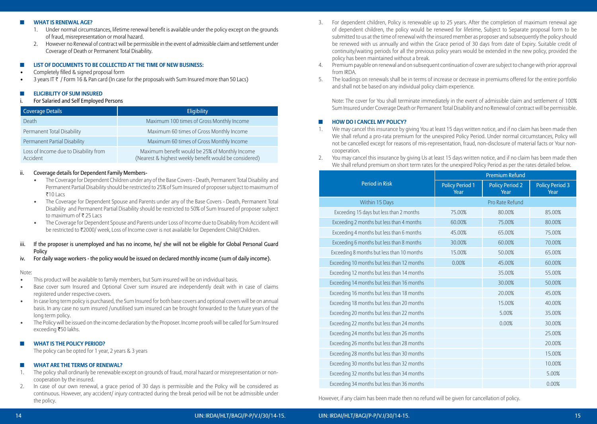#### ◼ **What is renewal age?**

- 1. Under normal circumstances, lifetime renewal benefit is available under the policy except on the grounds of fraud, misrepresentation or moral hazard.
- 2. However no Renewal of contract will be permissible in the event of admissible claim and settlement under Coverage of Death or Permanent Total Disability.

## ◼ **List of Documents to be collected at the time of new business:**

- Completely filled & signed proposal form
- 3 years IT  $\bar{\tau}$  / Form 16 & Pan card (In case for the proposals with Sum Insured more than 50 Lacs)

## ◼ **Eligibility of Sum Insured**

For Salaried and Self Employed Persons

| Coverage Details                                  | <b>Eligibility</b>                                                                                       |
|---------------------------------------------------|----------------------------------------------------------------------------------------------------------|
| Death                                             | Maximum 100 times of Gross Monthly Income                                                                |
| Permanent Total Disability                        | Maximum 60 times of Gross Monthly Income                                                                 |
| Permanent Partial Disability                      | Maximum 60 times of Gross Monthly Income                                                                 |
| Loss of Income due to Disability from<br>Accident | Maximum benefit would be 25% of Monthly Income<br>(Nearest & highest weekly benefit would be considered) |

## ii. Coverage details for Dependent Family Members-

- The Coverage for Dependent Children under any of the Base Covers Death, Permanent Total Disability and Permanent Partial Disability should be restricted to 25% of Sum Insured of proposer subject to maximum of ₹10 Lacs
- The Coverage for Dependent Spouse and Parents under any of the Base Covers Death, Permanent Total Disability and Permanent Partial Disability should be restricted to 50% of Sum Insured of proposer subject to maximum of  $\bar{\bar{\epsilon}}$  25 Lacs
- The Coverage for Dependent Spouse and Parents under Loss of Income due to Disability from Accident will be restricted to ₹2000/ week, Loss of Income cover is not available for Dependent Child/Children.
- iii. If the proposer is unemployed and has no income, he/ she will not be eligible for Global Personal Guard **Policy**
- iv. For daily wage workers the policy would be issued on declared monthly income (sum of daily income).

## Note:

- This product will be available to family members, but Sum insured will be on individual basis.
- Base cover sum Insured and Optional Cover sum insured are independently dealt with in case of claims registered under respective covers.
- In case long term policy is purchased, the Sum Insured for both base covers and optional covers will be on annual basis. In any case no sum insured /unutilised sum insured can be brought forwarded to the future years of the long term policy.
- The Policy will be issued on the income declaration by the Proposer. Income proofs will be called for Sum Insured exceeding ₹50 lakhs.

## $\Pi$  **WHAT IS THE POLICY PERIOD?**

The policy can be opted for 1 year, 2 years & 3 years

## ◼ **What are the Terms of Renewal?**

- 1. The policy shall ordinarily be renewable except on grounds of fraud, moral hazard or misrepresentation or noncooperation by the insured.
- 2. In case of our own renewal, a grace period of 30 days is permissible and the Policy will be considered as continuous. However, any accident/ injury contracted during the break period will be not be admissible under the policy.
- 3. For dependent children, Policy is renewable up to 25 years. After the completion of maximum renewal age of dependent children, the policy would be renewed for lifetime, Subject to Separate proposal form to be submitted to us at the time of renewal with the insured member as proposer and subsequently the policy should be renewed with us annually and within the Grace period of 30 days from date of Expiry. Suitable credit of continuity/waiting periods for all the previous policy years would be extended in the new policy, provided the policy has been maintained without a break.
- 4. Premium payable on renewal and on subsequent continuation of cover are subject to change with prior approval from IRDA.
- 5. The loadings on renewals shall be in terms of increase or decrease in premiums offered for the entire portfolio and shall not be based on any individual policy claim experience.

 Note: The cover for You shall terminate immediately in the event of admissible claim and settlement of 100% Sum Insured under Coverage Death or Permanent Total Disability and no Renewal of contract will be permissible.

## ◼ **How do I cancel my Policy?**

- 1. We may cancel this insurance by giving You at least 15 days written notice, and if no claim has been made then We shall refund a pro-rata premium for the unexpired Policy Period. Under normal circumstances, Policy will not be cancelled except for reasons of mis-representation, fraud, non-disclosure of material facts or Your noncooperation.
- 2. You may cancel this insurance by giving Us at least 15 days written notice, and if no claim has been made then We shall refund premium on short term rates for the unexpired Policy Period as per the rates detailed below.

|                                             |                                | <b>Premium Refund</b>          |                                |
|---------------------------------------------|--------------------------------|--------------------------------|--------------------------------|
| <b>Period in Risk</b>                       | <b>Policy Period 1</b><br>Year | <b>Policy Period 2</b><br>Year | <b>Policy Period 3</b><br>Year |
| Within 15 Days                              |                                | Pro Rate Refund                |                                |
| Exceeding 15 days but less than 2 months    | 75.00%                         | 80.00%                         | 85.00%                         |
| Exceeding 2 months but less than 4 months   | 60.00%                         | 75.00%                         | 80.00%                         |
| Exceeding 4 months but less than 6 months   | 45.00%                         | 65.00%                         | 75.00%                         |
| Exceeding 6 months but less than 8 months   | 30.00%                         | 60.00%                         | 70.00%                         |
| Exceeding 8 months but less than 10 months  | 15.00%                         | 50.00%                         | 65.00%                         |
| Exceeding 10 months but less than 12 months | 0.00%                          | 45.00%                         | 60.00%                         |
| Exceeding 12 months but less than 14 months |                                | 35.00%                         | 55.00%                         |
| Exceeding 14 months but less than 16 months |                                | 30.00%                         | 50.00%                         |
| Exceeding 16 months but less than 18 months |                                | 20.00%                         | 45.00%                         |
| Exceeding 18 months but less than 20 months |                                | 15.00%                         | 40.00%                         |
| Exceeding 20 months but less than 22 months |                                | 5.00%                          | 35.00%                         |
| Exceeding 22 months but less than 24 months |                                | 0.00%                          | 30.00%                         |
| Exceeding 24 months but less than 26 months |                                |                                | 25.00%                         |
| Exceeding 26 months but less than 28 months |                                |                                | 20.00%                         |
| Exceeding 28 months but less than 30 months |                                |                                | 15.00%                         |
| Exceeding 30 months but less than 32 months |                                |                                | 10.00%                         |
| Exceeding 32 months but less than 34 months |                                |                                | 5.00%                          |
| Exceeding 34 months but less than 36 months |                                |                                | 0.00%                          |

However, if any claim has been made then no refund will be given for cancellation of policy.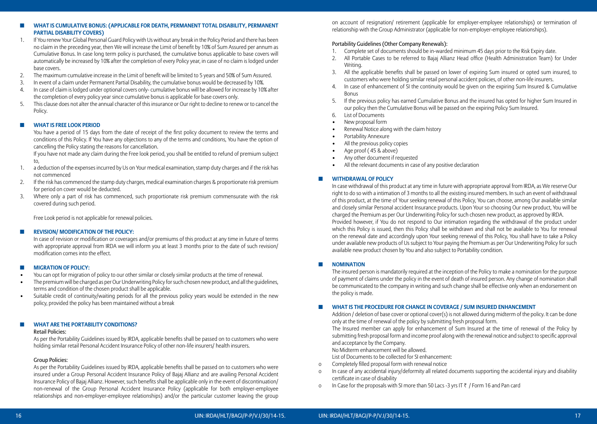- 1. If You renew Your Global Personal Guard Policy with Us without any break in the Policy Period and there has been no claim in the preceding year, then We will increase the Limit of benefit by 10% of Sum Assured per annum as Cumulative Bonus. In case long term policy is purchased, the cumulative bonus applicable to base covers will automatically be increased by 10% after the completion of every Policy year, in case of no claim is lodged under base covers.
- 2. The maximum cumulative increase in the Limit of benefit will be limited to 5 years and 50% of Sum Assured.
- 3. In event of a claim under Permanent Partial Disability, the cumulative bonus would be decreased by 10%.
- 4. In case of claim is lodged under optional covers only- cumulative bonus will be allowed for increase by 10% after the completion of every policy year since cumulative bonus is applicable for base covers only.
- 5. This clause does not alter the annual character of this insurance or Our right to decline to renew or to cancel the Policy.

## $\Pi$  **WHAT IS FREE LOOK PERIOD**

 You have a period of 15 days from the date of receipt of the first policy document to review the terms and conditions of this Policy. If You have any objections to any of the terms and conditions, You have the option of cancelling the Policy stating the reasons for cancellation.

 If you have not made any claim during the Free look period, you shall be entitled to refund of premium subject to,

- 1. a deduction of the expenses incurred by Us on Your medical examination, stamp duty charges and if the risk has not commenced
- 2. If the risk has commenced the stamp duty charges, medical examination charges & proportionate risk premium for period on cover would be deducted.
- 3. Where only a part of risk has commenced, such proportionate risk premium commensurate with the risk covered during such period.

Free Look period is not applicable for renewal policies.

## ◼ **Revision/ Modification of the policy:**

 In case of revision or modification or coverages and/or premiums of this product at any time in future of terms with appropriate approval from IRDA we will inform you at least 3 months prior to the date of such revision/ modification comes into the effect.

## ◼ **Migration of Policy:**

- You can opt for migration of policy to our other similar or closely similar products at the time of renewal.
- The premium will be charged as per Our Underwriting Policy for such chosen new product, and all the guidelines, terms and condition of the chosen product shall be applicable.
- Suitable credit of continuity/waiting periods for all the previous policy years would be extended in the new policy, provided the policy has been maintained without a break

## $\blacksquare$  WHAT ARE THE PORTABILITY CONDITIONS?

## Retail Policies:

 As per the Portability Guidelines issued by IRDA, applicable benefits shall be passed on to customers who were holding similar retail Personal Accident Insurance Policy of other non-life insurers/ health insurers.

## Group Policies:

 As per the Portability Guidelines issued by IRDA, applicable benefits shall be passed on to customers who were insured under a Group Personal Accident Insurance Policy of Bajaj Allianz and are availing Personal Accident Insurance Policy of Bajaj Allianz. However, such benefits shall be applicable only in the event of discontinuation/ non-renewal of the Group Personal Accident Insurance Policy (applicable for both employer-employee relationships and non-employer-employee relationships) and/or the particular customer leaving the group

on account of resignation/ retirement (applicable for employer-employee relationships) or termination of relationship with the Group Administrator (applicable for non-employer-employee relationships).

## Portability Guidelines (Other Company Renewals):

- 1. Complete set of documents should be in-warded minimum 45 days prior to the Risk Expiry date.
- 2. All Portable Cases to be referred to Bajaj Allianz Head office (Health Administration Team) for Under Writing.
- 3. All the applicable benefits shall be passed on lower of expiring Sum insured or opted sum insured, to customers who were holding similar retail personal accident policies, of other non-life insurers.
- 4. In case of enhancement of SI the continuity would be given on the expiring Sum Insured & Cumulative Bonus
- 5. If the previous policy has earned Cumulative Bonus and the insured has opted for higher Sum Insured in our policy then the Cumulative Bonus will be passed on the expiring Policy Sum Insured.
- 6. List of Documents
- New proposal form
- Renewal Notice along with the claim history
- Portability Annexure
- All the previous policy copies
- Age proof ( 45 & above)
- Any other document if requested
- All the relevant documents in case of any positive declaration

## $\Pi$  **WITHDRAWAL OF POLICY**

 In case withdrawal of this product at any time in future with appropriate approval from IRDA, as We reserve Our right to do so with a intimation of 3 months to all the existing insured members. In such an event of withdrawal of this product, at the time of Your seeking renewal of this Policy, You can choose, among Our available similar and closely similar Personal accident Insurance products. Upon Your so choosing Our new product, You will be charged the Premium as per Our Underwriting Policy for such chosen new product, as approved by IRDA. Provided however, if You do not respond to Our intimation regarding the withdrawal of the product under which this Policy is issued, then this Policy shall be withdrawn and shall not be available to You for renewal on the renewal date and accordingly upon Your seeking renewal of this Policy, You shall have to take a Policy under available new products of Us subject to Your paying the Premium as per Our Underwriting Policy for such available new product chosen by You and also subject to Portability condition.

## $\blacksquare$  **NOMINATION**

 The insured person is mandatorily required at the inception of the Policy to make a nomination for the purpose of payment of claims under the policy in the event of death of insured person. Any change of nomination shall be communicated to the company in writing and such change shall be effective only when an endorsement on the policy is made.

## ◼ **What is THE procedure for Change in Coverage / Sum Insured Enhancement**

 Addition / deletion of base cover or optional cover(s) is not allowed during midterm of the policy. It can be done only at the time of renewal of the policy by submitting fresh proposal form.

 The Insured member can apply for enhancement of Sum Insured at the time of renewal of the Policy by submitting fresh proposal form and income proof along with the renewal notice and subject to specific approval and acceptance by the Company.

No Midterm enhancement will be allowed.

List of Documents to be collected for SI enhancement:

- o Completely filled proposal form with renewal notice
- o In case of any accidental injury/deformity all related documents supporting the accidental injury and disability certificate in case of disability
- o In Case for the proposals with SI more than 50 Lacs -3 yrs IT  $\bar{\tau}$  / Form 16 and Pan card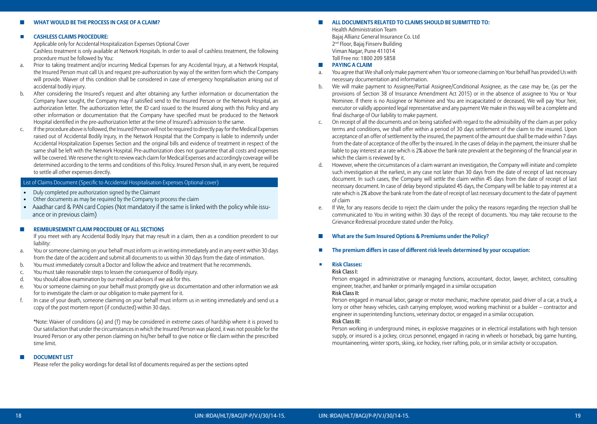## ◼ **What would be the process in case of a claim?**

#### ◽ **Cashless Claims Procedure:**

Applicable only for Accidental Hospitalization Expenses Optional Cover

 Cashless treatment is only available at Network Hospitals. In order to avail of cashless treatment, the following procedure must be followed by You:

- a. Prior to taking treatment and/or incurring Medical Expenses for any Accidental Injury, at a Network Hospital, the Insured Person must call Us and request pre-authorization by way of the written form which the Company will provide. Waiver of this condition shall be considered in case of emergency hospitalisation arising out of accidental bodily injury.
- b. After considering the Insured's request and after obtaining any further information or documentation the Company have sought, the Company may if satisfied send to the Insured Person or the Network Hospital, an authorization letter. The authorization letter, the ID card issued to the Insured along with this Policy and any other information or documentation that the Company have specified must be produced to the Network Hospital identified in the pre-authorization letter at the time of Insured's admission to the same.
- c. If the procedure above is followed, the Insured Person will not be required to directly pay for the Medical Expenses raised out of Accidental Bodily Injury, in the Network Hospital that the Company is liable to indemnify under Accidental Hospitalization Expenses Section and the original bills and evidence of treatment in respect of the same shall be left with the Network Hospital. Pre-authorization does not guarantee that all costs and expenses will be covered. We reserve the right to review each claim for Medical Expenses and accordingly coverage will be determined according to the terms and conditions of this Policy. Insured Person shall, in any event, be required to settle all other expenses directly.

## List of Claims Document (Specific to Accidental Hospitalisation Expenses Optional cover)

- Duly completed pre authorization signed by the Claimant
- Other documents as may be required by the Company to process the claim
- Aaadhar card & PAN card Copies (Not mandatory if the same is linked with the policy while issuance or in previous claim)

#### ◼ **Reimbursement Claim Procedure of All Sections**

 If you meet with any Accidental Bodily Injury that may result in a claim, then as a condition precedent to our liability:

- a. You or someone claiming on your behalf must inform us in writing immediately and in any event within 30 days from the date of the accident and submit all documents to us within 30 days from the date of intimation.
- b. You must immediately consult a Doctor and follow the advice and treatment that he recommends.
- c. You must take reasonable steps to lessen the consequence of Bodily injury.
- d. You should allow examination by our medical advisors if we ask for this.
- e. You or someone claiming on your behalf must promptly give us documentation and other information we ask for to investigate the claim or our obligation to make payment for it.
- f. In case of your death, someone claiming on your behalf must inform us in writing immediately and send us a copy of the post mortem report (if conducted) within 30 days.

 \*Note: Waiver of conditions (a) and (f) may be considered in extreme cases of hardship where it is proved to Our satisfaction that under the circumstances in which the Insured Person was placed, it was not possible for the Insured Person or any other person claiming on his/her behalf to give notice or file claim within the prescribed time limit.

#### ■ **DOCUMENT LIST**

Please refer the policy wordings for detail list of documents required as per the sections opted

#### ◼ **All documents related to claims should be submitted to:**

Health Administration Team Bajaj Allianz General Insurance Co. Ltd 2nd Floor, Bajaj Finserv Building Viman Nagar, Pune 411014 Toll Free no: 1800 209 5858

## $\blacksquare$  **PAYING A CLAIM**

- a. You agree that We shall only make payment when You or someone claiming on Your behalf has provided Us with necessary documentation and information.
- b. We will make payment to Assignee/Partial Assignee/Conditional Assignee, as the case may be, (as per the provisions of Section 38 of Insurance Amendment Act 2015) or in the absence of assignee to You or Your Nominee. If there is no Assignee or Nominee and You are incapacitated or deceased, We will pay Your heir, executor or validly appointed legal representative and any payment We make in this way will be a complete and final discharge of Our liability to make payment.
- c. On receipt of all the documents and on being satisfied with regard to the admissibility of the claim as per policy terms and conditions, we shall offer within a period of 30 days settlement of the claim to the insured. Upon acceptance of an offer of settlement by the insured, the payment of the amount due shall be made within 7 days from the date of acceptance of the offer by the insured. In the cases of delay in the payment, the insurer shall be liable to pay interest at a rate which is 2% above the bank rate prevalent at the beginning of the financial year in which the claim is reviewed by it.
- d. However, where the circumstances of a claim warrant an investigation, the Company will initiate and complete such investigation at the earliest, in any case not later than 30 days from the date of receipt of last necessary document. In such cases, the Company will settle the claim within 45 days from the date of receipt of last necessary document. In case of delay beyond stipulated 45 days, the Company will be liable to pay interest at a rate which is 2% above the bank rate from the date of receipt of last necessary document to the date of payment of claim
- e. If We, for any reasons decide to reject the claim under the policy the reasons regarding the rejection shall be communicated to You in writing within 30 days of the receipt of documents. You may take recourse to the Grievance Redressal procedure stated under the Policy.

#### **What are the Sum Insured Options & Premiums under the Policy?**

■ The premium differs in case of different risk levels determined by your occupation:

## ◾ **Risk Classes:**

#### Risk Class I:

 Person engaged in administrative or managing functions, accountant, doctor, lawyer, architect, consulting engineer, teacher, and banker or primarily engaged in a similar occupation

## Risk Class II:

 Person engaged in manual labor, garage or motor mechanic, machine operator, paid driver of a car, a truck, a lorry or other heavy vehicles, cash carrying employee, wood working machinist or a builder – contractor and engineer in superintending functions, veterinary doctor, or engaged in a similar occupation.

## Risk Class III:

 Person working in underground mines, in explosive magazines or in electrical installations with high tension supply, or insured is a jockey, circus personnel, engaged in racing in wheels or horseback, big game hunting, mountaineering, winter sports, skiing, ice hockey, river rafting, polo, or in similar activity or occupation.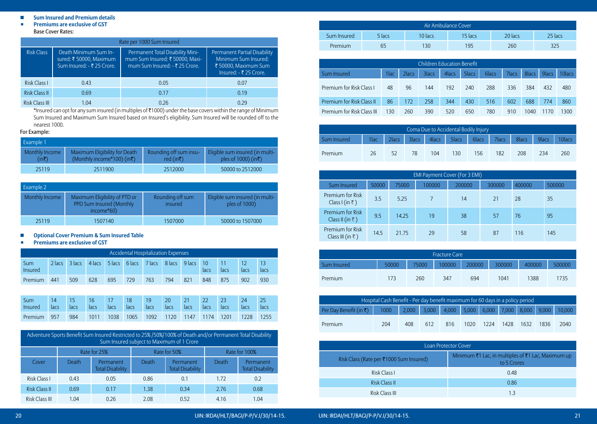## ■ Sum Insured and Premium details

#### ■ **Premiums are exclusive of GST** Base Cover Rates:

|                      | Rate per 1000 Sum Insured                                                      |                                                                                                       |                                                                                                        |  |  |  |  |  |  |  |  |  |  |  |
|----------------------|--------------------------------------------------------------------------------|-------------------------------------------------------------------------------------------------------|--------------------------------------------------------------------------------------------------------|--|--|--|--|--|--|--|--|--|--|--|
| <b>Risk Class</b>    | Death Minimum Sum In-<br>sured: ₹ 50000, Maximum<br>Sum Insured: - ₹ 25 Crore. | Permanent Total Disability Mini-<br>mum Sum Insured: ₹ 50000, Maxi-<br>mum Sum Insured: - ₹ 25 Crore. | Permanent Partial Disability<br>Minimum Sum Insured:<br>₹ 50000, Maximum Sum<br>Insured: - ₹ 25 Crore. |  |  |  |  |  |  |  |  |  |  |  |
| Risk Class I         | 0.43                                                                           | 0.05                                                                                                  | 0.07                                                                                                   |  |  |  |  |  |  |  |  |  |  |  |
| <b>Risk Class II</b> | 0.69                                                                           | 0.17                                                                                                  | 0.19                                                                                                   |  |  |  |  |  |  |  |  |  |  |  |
| Risk Class III       | 1 N4                                                                           | 0.26                                                                                                  | በ ንዓ                                                                                                   |  |  |  |  |  |  |  |  |  |  |  |

\*Insured can opt for any sum insured (in multiples of  $\bar{\bf \tau}$ 1000) under the base covers within the range of Minimum Sum Insured and Maximum Sum Insured based on Insured's eligibility. Sum Insured will be rounded off to the nearest 1000.

## For Example:

| Example 1               |                                                                       |                                                  |                                                                     |
|-------------------------|-----------------------------------------------------------------------|--------------------------------------------------|---------------------------------------------------------------------|
| Monthly Income<br>(in₹) | Maximum Eligibility for Death<br>(Monthly income*100) (in $\bar{z}$ ) | Rounding off sum insu-<br>red (in $\bar{\tau}$ ) | Eligible sum insured (in multi-<br>ples of 1000) (in $\bar{\tau}$ ) |
| 25119                   | 2511900                                                               | 2512000                                          | 50000 to 2512000                                                    |

| <b>Example 2</b> |                                                                         |                             |                                                  |
|------------------|-------------------------------------------------------------------------|-----------------------------|--------------------------------------------------|
| Monthly Income   | Maximum Eligibility of PTD or<br>PPD Sum Insured (Monthly<br>income*60) | Rounding off sum<br>insured | Eligible sum insured (in multi-<br>ples of 1000) |
| 25119            | 1507140                                                                 | 1507000                     | 50000 to 1507000                                 |

## ◽ **Optional Cover Premium & Sum Insured Table**

## ■ **Premiums are exclusive of GST**

|                | <b>Accidental Hospitalization Expenses</b> |        |          |          |        |        |        |               |      |      |      |      |  |  |
|----------------|--------------------------------------------|--------|----------|----------|--------|--------|--------|---------------|------|------|------|------|--|--|
| Sum<br>Insured | 2 lacs                                     | 3 lacs | $4$ lacs | 5 lacs V | 6 lacs | 2 lacs | 8 lacs | $9$ lacs $10$ | lacs | lacs | lacs | lacs |  |  |
| Premium        | 441                                        | 509    | 628      | 695      | 729    | 763    | 794    | 821           | 848  | 875  | 902  | 930  |  |  |

| <b>Sum</b>     |      | -15    |      |        | 18     | 19        | 20        | $\sqrt{21}$    | $\blacksquare$ 22 | 23   |        |      |
|----------------|------|--------|------|--------|--------|-----------|-----------|----------------|-------------------|------|--------|------|
| <b>Insured</b> | lacs | lacs - | lacs | lacs l | lacs l | lacs lacs |           | lacs l         | lacs              | lacs | lacs - | lacs |
| <b>Premium</b> | 957  | 984    | 1011 | 1038   | 1065   |           | 1092 1120 | 1147 1174 1201 |                   |      | 1228   | 1255 |

|                      | Adventure Sports Benefit Sum Insured Restricted to 25% /50%/100% of Death and/or Permanent Total Disability<br>Sum Insured subject to Maximum of 1 Crore |                                      |       |                                      |       |                                      |  |  |  |  |  |  |  |  |
|----------------------|----------------------------------------------------------------------------------------------------------------------------------------------------------|--------------------------------------|-------|--------------------------------------|-------|--------------------------------------|--|--|--|--|--|--|--|--|
|                      | Rate for 100%<br>Rate for 50%<br>Rate for 25%                                                                                                            |                                      |       |                                      |       |                                      |  |  |  |  |  |  |  |  |
| Cover                | Death                                                                                                                                                    | Permanent<br><b>Total Disability</b> | Death | Permanent<br><b>Total Disability</b> | Death | Permanent<br><b>Total Disability</b> |  |  |  |  |  |  |  |  |
| Risk Class I         | 0.43                                                                                                                                                     | 0.05                                 | 0.86  | 0.1                                  | 1.72  | 0.2                                  |  |  |  |  |  |  |  |  |
| <b>Risk Class II</b> | 0.69                                                                                                                                                     | 0.17                                 | 1.38  | 0.34                                 | 2.76  | 0.68                                 |  |  |  |  |  |  |  |  |
| Risk Class III       | 1.04                                                                                                                                                     | 0.26                                 | 2.08  | 0.52                                 | 4.16  | 1.04                                 |  |  |  |  |  |  |  |  |

| Air Ambulance Cover |        |         |         |         |         |  |  |  |  |  |  |
|---------------------|--------|---------|---------|---------|---------|--|--|--|--|--|--|
| Sum Insured         | 5 lacs | 10 lacs | 15 lacs | 20 lacs | 25 lacs |  |  |  |  |  |  |
| Premium             | 65     | 130     | 195     | 260     | 325     |  |  |  |  |  |  |

| Children Education Benefit |      |       |        |       |       |       |       |       |       |         |
|----------------------------|------|-------|--------|-------|-------|-------|-------|-------|-------|---------|
| Sum Insured                | 1lac | 2lacs | 3 lacs | 4 acs | 5lacs | 6lacs | 7lacs | 8lacs | 9lacs | 10 lacs |
| Premium for Risk Class I   | 48   | 96    | 144    | 192   | 240   | 288   | 336   | 384   | 432   | 480     |
| Premium for Risk Class II  | 86   | 172   | 258    | 344   | 430   | 516   | 602   | 688   | 774   | 860     |
| Premium for Risk Class III | 130  | 260   | 390    | 520   | 650   | 780   | 910   | 1040  | 1170  | 1300    |

| Coma Due to Accidental Bodily Injury |              |         |         |     |     |     |     |                                                                                                                                                                                                                               |       |        |  |  |
|--------------------------------------|--------------|---------|---------|-----|-----|-----|-----|-------------------------------------------------------------------------------------------------------------------------------------------------------------------------------------------------------------------------------|-------|--------|--|--|
| Sum Insured                          | <b>Tlack</b> | 2lacs 7 | 3lacs / |     |     |     |     | 4   4   4   5   4   5   4   5   2   6   4   6   6   2   7   1   2   8   1   8   1   4   8   1   4   4   5   1   4   4   5   1   4   5   1   4   5   1   4   5   1   4   5   1   4   5   1   4   5   1   4   5   1   4   5   4 | 9lacs | 10lacs |  |  |
| Premium                              | 26           | 52      | 78      | 104 | 130 | 156 | 182 | 208                                                                                                                                                                                                                           | 234   | 260    |  |  |

| <b>EMI Payment Cover (For 3 EMI)</b> |                                               |       |       |        |        |        |        |        |  |  |
|--------------------------------------|-----------------------------------------------|-------|-------|--------|--------|--------|--------|--------|--|--|
|                                      | Sum Insured                                   | 50000 | 75000 | 100000 | 200000 | 300000 | 400000 | 500000 |  |  |
|                                      | Premium for Risk<br>Class I (in $\bar{z}$ )   | 3.5   | 5.25  |        | 14     | 21     | 28     | 35     |  |  |
|                                      | Premium for Risk<br>Class II (in ₹)           | 9.5   | 14.25 | 19     | 38     | 57     | 76     | 95     |  |  |
|                                      | Premium for Risk<br>Class III (in $\bar{z}$ ) | 14.5  | 21.75 | 29     | 58     | 87     | 116    | 145    |  |  |

| <b>Fracture Care</b> |       |       |        |        |        |        |        |  |  |  |
|----------------------|-------|-------|--------|--------|--------|--------|--------|--|--|--|
| Sum Insured          | 50000 | 75000 | 100000 | 200000 | 300000 | 400000 | 500000 |  |  |  |
| <b>Premium</b>       | 173   | 260   | 347    | 694    | 1041   | 1388   | 1735   |  |  |  |

| Hospital Cash Benefit - Per day benefit maximum for 60 days in a policy period |     |                                                             |     |     |      |      |      |      |      |      |
|--------------------------------------------------------------------------------|-----|-------------------------------------------------------------|-----|-----|------|------|------|------|------|------|
| Per Day Benefit (in $\bar{\tau}$ )                                             |     | 1000 2,000 3,000 4,000 5,000 6,000 7,000 8,000 9,000 10,000 |     |     |      |      |      |      |      |      |
| <b>Premium</b>                                                                 | 204 | 408                                                         | 612 | 816 | 1020 | 1224 | 1428 | 1632 | 1836 | 2040 |

|                                         | <b>Loan Protector Cover</b>                                       |
|-----------------------------------------|-------------------------------------------------------------------|
| Risk Class (Rate per ₹1000 Sum Insured) | Minimum ₹1 Lac, in multiples of ₹1 Lac, Maximum up<br>to 5 Crores |
| Risk Class I                            | 0.48                                                              |
| Risk Class II                           | 0.86                                                              |
| Risk Class III                          | 13                                                                |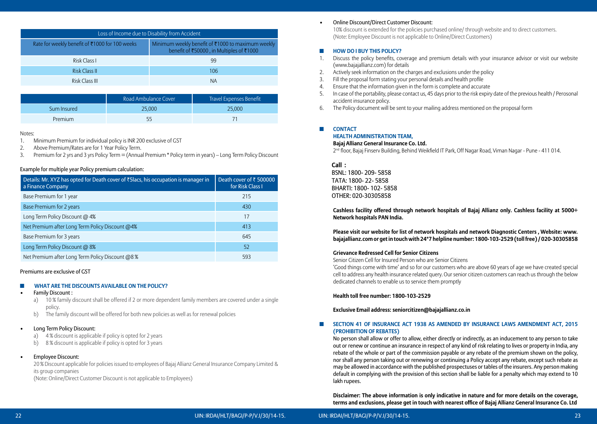|                                                | Loss of Income due to Disability from Accident                                                |
|------------------------------------------------|-----------------------------------------------------------------------------------------------|
| Rate for weekly benefit of ₹1000 for 100 weeks | Minimum weekly benefit of ₹1000 to maximum weekly<br>benefit of ₹50000, in Multiples of ₹1000 |
| Risk Class I                                   | 99                                                                                            |
| Risk Class II                                  | 106                                                                                           |
| Risk Class III                                 | ΝA                                                                                            |

|             | Road Ambulance Cover | Travel Expenses Benefit |
|-------------|----------------------|-------------------------|
| Sum Insured | 25,000               | 25,000                  |
| Premium     |                      |                         |

Notes:

- 1. Minimum Premium for individual policy is INR 200 exclusive of GST
- 2. Above Premium/Rates are for 1 Year Policy Term.
- 3. Premium for 2 yrs and 3 yrs Policy Term = (Annual Premium \* Policy term in years) Long Term Policy Discount

## Example for multiple year Policy premium calculation:

| Details: Mr. XYZ has opted for Death cover of ₹5 lacs, his occupation is manager in<br>a Finance Company | Death cover of $\bar{\tau}$ 500000<br>for Risk Class I |
|----------------------------------------------------------------------------------------------------------|--------------------------------------------------------|
| Base Premium for 1 year                                                                                  | 215                                                    |
| Base Premium for 2 years                                                                                 | 430                                                    |
| Long Term Policy Discount @ 4%                                                                           | 17                                                     |
| Net Premium after Long Term Policy Discount @4%                                                          | 413                                                    |
| Base Premium for 3 years                                                                                 | 645                                                    |
| Long Term Policy Discount @ 8%                                                                           | 52                                                     |
| Net Premium after Long Term Policy Discount @8%                                                          | 593                                                    |

## Premiums are exclusive of GST

## ◼ **What are the Discounts available on the Policy?**

- **Family Discount:** 
	- a) 10 % family discount shall be offered if 2 or more dependent family members are covered under a single policy.
	- b) The family discount will be offered for both new policies as well as for renewal policies

## **Long Term Policy Discount:**

- a) 4 % discount is applicable if policy is opted for 2 years
- b) 8 % discount is applicable if policy is opted for 3 years

## **Employee Discount:**

 20 % Discount applicable for policies issued to employees of Bajaj Allianz General Insurance Company Limited & its group companies

(Note: Online/Direct Customer Discount is not applicable to Employees)

## Online Discount/Direct Customer Discount:

10% discount is extended for the policies purchased online/ through website and to direct customers. (Note: Employee Discount is not applicable to Online/Direct Customers)

## ◼ **How do I buy this policy?**

- 1. Discuss the policy benefits, coverage and premium details with your insurance advisor or visit our website (www.bajajallianz.com) for details
- 2. Actively seek information on the charges and exclusions under the policy
- 3. Fill the proposal form stating your personal details and health profile
- 4. Ensure that the information given in the form is complete and accurate
- 5. In case of the portability, please contact us, 45 days prior to the risk expiry date of the previous health / Perosonal accident insurance policy.
- 6. The Policy document will be sent to your mailing address mentioned on the proposal form

## ■ **CONTACT**

## **Health Administration Team,**

## **Bajaj Allianz General Insurance Co. Ltd.**

2<sup>nd</sup> floor, Bajaj Finserv Building, Behind Weikfield IT Park, Off Nagar Road, Viman Nagar - Pune - 411 014.

## **Call :**

BSNL: 1800- 209- 5858 TATA: 1800- 22- 5858 BHARTI: 1800- 102- 5858 OTHER: 020-30305858

 **Cashless facility offered through network hospitals of Bajaj Allianz only. Cashless facility at 5000+ Network hospitals PAN India.** 

 **Please visit our website for list of network hospitals and network Diagnostic Centers , Website: www. bajajallianz.com or get in touch with 24\*7 helpline number: 1800-103-2529 (toll free) / 020-30305858** 

## **Grievance Redressed Cell for Senior Citizens**

Senior Citizen Cell for Insured Person who are Senior Citizens

 'Good things come with time' and so for our customers who are above 60 years of age we have created special cell to address any health insurance related query. Our senior citizen customers can reach us through the below dedicated channels to enable us to service them promptly

## **Health toll free number: 1800-103-2529**

## **Exclusive Email address: seniorcitizen@bajajallianz.co.in**

## ■ SECTION 41 OF INSURANCE ACT 1938 AS AMENDED BY INSURANCE LAWS AMENDMENT ACT, 2015 **(Prohibition of Rebates)**

No person shall allow or offer to allow, either directly or indirectly, as an inducement to any person to take out or renew or continue an insurance in respect of any kind of risk relating to lives or property in India, any rebate of the whole or part of the commission payable or any rebate of the premium shown on the policy, nor shall any person taking out or renewing or continuing a Policy accept any rebate, except such rebate as may be allowed in accordance with the published prospectuses or tables of the insurers. Any person making default in complying with the provision of this section shall be liable for a penalty which may extend to 10 lakh rupees.

 **Disclaimer: The above information is only indicative in nature and for more details on the coverage, terms and exclusions, please get in touch with nearest office of Bajaj Allianz General Insurance Co. Ltd**